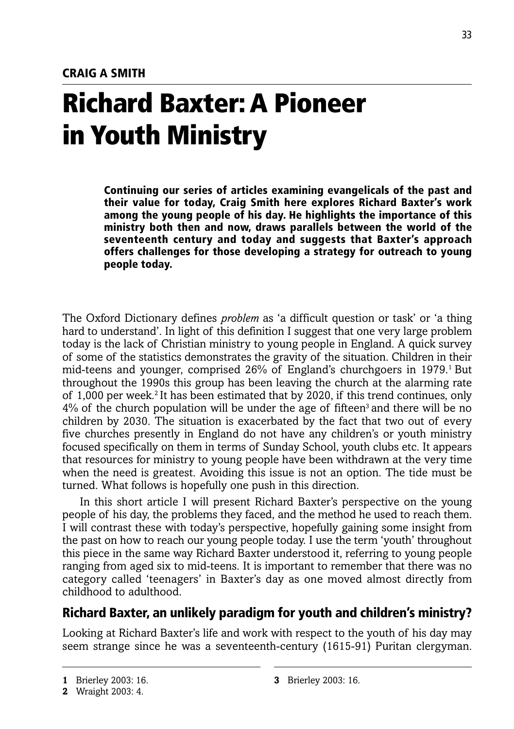# **Richard Baxter: A Pioneer in Youth Ministry**

**Continuing our series of articles examining evangelicals of the past and their value for today, Craig Smith here explores Richard Baxter's work among the young people of his day. He highlights the importance of this ministry both then and now, draws parallels between the world of the seventeenth century and today and suggests that Baxter's approach offers challenges for those developing a strategy for outreach to young people today.**

The Oxford Dictionary defines *problem* as 'a difficult question or task' or 'a thing hard to understand'. In light of this definition I suggest that one very large problem today is the lack of Christian ministry to young people in England. A quick survey of some of the statistics demonstrates the gravity of the situation. Children in their mid-teens and younger, comprised 26% of England's churchgoers in 1979.<sup>1</sup> But throughout the 1990s this group has been leaving the church at the alarming rate of 1,000 per week.<sup>2</sup> It has been estimated that by 2020, if this trend continues, only  $4\%$  of the church population will be under the age of fifteen<sup>3</sup> and there will be no children by 2030. The situation is exacerbated by the fact that two out of every five churches presently in England do not have any children's or youth ministry focused specifically on them in terms of Sunday School, youth clubs etc. It appears that resources for ministry to young people have been withdrawn at the very time when the need is greatest. Avoiding this issue is not an option. The tide must be turned. What follows is hopefully one push in this direction.

In this short article I will present Richard Baxter's perspective on the young people of his day, the problems they faced, and the method he used to reach them. I will contrast these with today's perspective, hopefully gaining some insight from the past on how to reach our young people today. I use the term 'youth' throughout this piece in the same way Richard Baxter understood it, referring to young people ranging from aged six to mid-teens. It is important to remember that there was no category called 'teenagers' in Baxter's day as one moved almost directly from childhood to adulthood.

## **Richard Baxter, an unlikely paradigm for youth and children's ministry?**

Looking at Richard Baxter's life and work with respect to the youth of his day may seem strange since he was a seventeenth-century (1615-91) Puritan clergyman.

**<sup>1</sup>** Brierley 2003: 16.

**<sup>2</sup>** Wraight 2003: 4.

**<sup>3</sup>** Brierley 2003: 16.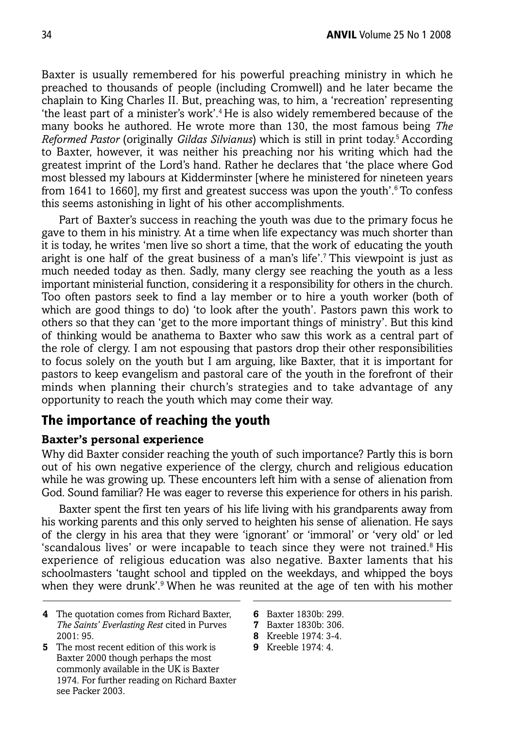Baxter is usually remembered for his powerful preaching ministry in which he preached to thousands of people (including Cromwell) and he later became the chaplain to King Charles II. But, preaching was, to him, a 'recreation' representing 'the least part of a minister's work'.4 He is also widely remembered because of the many books he authored. He wrote more than 130, the most famous being *The Reformed Pastor* (originally *Gildas Silvianus*) which is still in print today.5 According to Baxter, however, it was neither his preaching nor his writing which had the greatest imprint of the Lord's hand. Rather he declares that 'the place where God most blessed my labours at Kidderminster [where he ministered for nineteen years from 1641 to 1660], my first and greatest success was upon the youth'.<sup>6</sup> To confess this seems astonishing in light of his other accomplishments.

Part of Baxter's success in reaching the youth was due to the primary focus he gave to them in his ministry. At a time when life expectancy was much shorter than it is today, he writes 'men live so short a time, that the work of educating the youth aright is one half of the great business of a man's life'.7 This viewpoint is just as much needed today as then. Sadly, many clergy see reaching the youth as a less important ministerial function, considering it a responsibility for others in the church. Too often pastors seek to find a lay member or to hire a youth worker (both of which are good things to do) 'to look after the youth'. Pastors pawn this work to others so that they can 'get to the more important things of ministry'. But this kind of thinking would be anathema to Baxter who saw this work as a central part of the role of clergy. I am not espousing that pastors drop their other responsibilities to focus solely on the youth but I am arguing, like Baxter, that it is important for pastors to keep evangelism and pastoral care of the youth in the forefront of their minds when planning their church's strategies and to take advantage of any opportunity to reach the youth which may come their way.

## **The importance of reaching the youth**

#### **Baxter's personal experience**

Why did Baxter consider reaching the youth of such importance? Partly this is born out of his own negative experience of the clergy, church and religious education while he was growing up. These encounters left him with a sense of alienation from God. Sound familiar? He was eager to reverse this experience for others in his parish.

Baxter spent the first ten years of his life living with his grandparents away from his working parents and this only served to heighten his sense of alienation. He says of the clergy in his area that they were 'ignorant' or 'immoral' or 'very old' or led 'scandalous lives' or were incapable to teach since they were not trained.<sup>8</sup> His experience of religious education was also negative. Baxter laments that his schoolmasters 'taught school and tippled on the weekdays, and whipped the boys when they were drunk'.<sup>9</sup> When he was reunited at the age of ten with his mother

- **4** The quotation comes from Richard Baxter, *The Saints' Everlasting Rest* cited in Purves  $2001 \cdot 95$
- **5** The most recent edition of this work is Baxter 2000 though perhaps the most commonly available in the UK is Baxter 1974. For further reading on Richard Baxter see Packer 2003.
- **6** Baxter 1830b: 299.
- **7** Baxter 1830b: 306.
- **8** Kreeble 1974: 3-4.
- **9** Kreeble 1974: 4.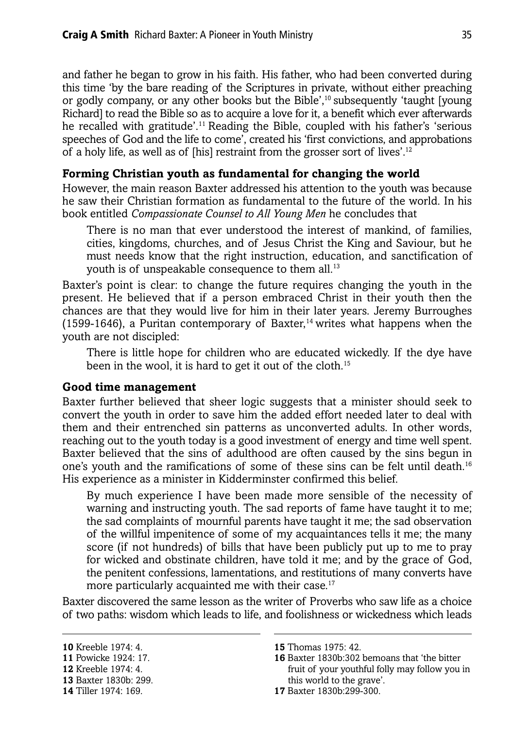and father he began to grow in his faith. His father, who had been converted during this time 'by the bare reading of the Scriptures in private, without either preaching or godly company, or any other books but the Bible',<sup>10</sup> subsequently 'taught [young Richard] to read the Bible so as to acquire a love for it, a benefit which ever afterwards he recalled with gratitude'.<sup>11</sup> Reading the Bible, coupled with his father's 'serious speeches of God and the life to come', created his 'first convictions, and approbations of a holy life, as well as of [his] restraint from the grosser sort of lives'.12

#### **Forming Christian youth as fundamental for changing the world**

However, the main reason Baxter addressed his attention to the youth was because he saw their Christian formation as fundamental to the future of the world. In his book entitled *Compassionate Counsel to All Young Men* he concludes that

There is no man that ever understood the interest of mankind, of families, cities, kingdoms, churches, and of Jesus Christ the King and Saviour, but he must needs know that the right instruction, education, and sanctification of youth is of unspeakable consequence to them all.<sup>13</sup>

Baxter's point is clear: to change the future requires changing the youth in the present. He believed that if a person embraced Christ in their youth then the chances are that they would live for him in their later years. Jeremy Burroughes (1599-1646), a Puritan contemporary of Baxter,<sup>14</sup> writes what happens when the youth are not discipled:

There is little hope for children who are educated wickedly. If the dye have been in the wool, it is hard to get it out of the cloth.15

#### **Good time management**

Baxter further believed that sheer logic suggests that a minister should seek to convert the youth in order to save him the added effort needed later to deal with them and their entrenched sin patterns as unconverted adults. In other words, reaching out to the youth today is a good investment of energy and time well spent. Baxter believed that the sins of adulthood are often caused by the sins begun in one's youth and the ramifications of some of these sins can be felt until death.16 His experience as a minister in Kidderminster confirmed this belief.

By much experience I have been made more sensible of the necessity of warning and instructing youth. The sad reports of fame have taught it to me; the sad complaints of mournful parents have taught it me; the sad observation of the willful impenitence of some of my acquaintances tells it me; the many score (if not hundreds) of bills that have been publicly put up to me to pray for wicked and obstinate children, have told it me; and by the grace of God, the penitent confessions, lamentations, and restitutions of many converts have more particularly acquainted me with their case.<sup>17</sup>

Baxter discovered the same lesson as the writer of Proverbs who saw life as a choice of two paths: wisdom which leads to life, and foolishness or wickedness which leads

**13** Baxter 1830b: 299.

**17** Baxter 1830b:299-300.

**<sup>10</sup>** Kreeble 1974: 4.

**<sup>11</sup>** Powicke 1924: 17.

**<sup>12</sup>** Kreeble 1974: 4.

**<sup>14</sup>** Tiller 1974: 169.

**<sup>15</sup>** Thomas 1975: 42.

**<sup>16</sup>** Baxter 1830b:302 bemoans that 'the bitter fruit of your youthful folly may follow you in this world to the grave'.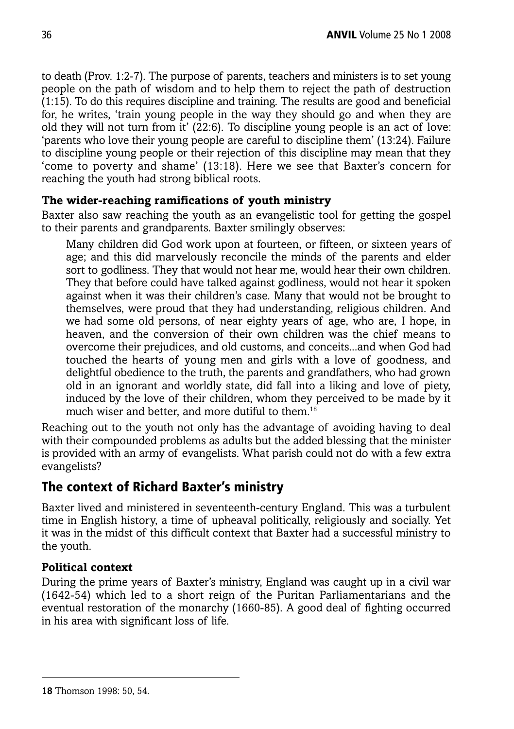to death (Prov. 1:2-7). The purpose of parents, teachers and ministers is to set young people on the path of wisdom and to help them to reject the path of destruction (1:15). To do this requires discipline and training. The results are good and beneficial for, he writes, 'train young people in the way they should go and when they are old they will not turn from it' (22:6). To discipline young people is an act of love: 'parents who love their young people are careful to discipline them' (13:24). Failure to discipline young people or their rejection of this discipline may mean that they 'come to poverty and shame' (13:18). Here we see that Baxter's concern for reaching the youth had strong biblical roots.

## **The wider-reaching ramifications of youth ministry**

Baxter also saw reaching the youth as an evangelistic tool for getting the gospel to their parents and grandparents. Baxter smilingly observes:

Many children did God work upon at fourteen, or fifteen, or sixteen years of age; and this did marvelously reconcile the minds of the parents and elder sort to godliness. They that would not hear me, would hear their own children. They that before could have talked against godliness, would not hear it spoken against when it was their children's case. Many that would not be brought to themselves, were proud that they had understanding, religious children. And we had some old persons, of near eighty years of age, who are, I hope, in heaven, and the conversion of their own children was the chief means to overcome their prejudices, and old customs, and conceits...and when God had touched the hearts of young men and girls with a love of goodness, and delightful obedience to the truth, the parents and grandfathers, who had grown old in an ignorant and worldly state, did fall into a liking and love of piety, induced by the love of their children, whom they perceived to be made by it much wiser and better, and more dutiful to them.<sup>18</sup>

Reaching out to the youth not only has the advantage of avoiding having to deal with their compounded problems as adults but the added blessing that the minister is provided with an army of evangelists. What parish could not do with a few extra evangelists?

# **The context of Richard Baxter's ministry**

Baxter lived and ministered in seventeenth-century England. This was a turbulent time in English history, a time of upheaval politically, religiously and socially. Yet it was in the midst of this difficult context that Baxter had a successful ministry to the youth.

## **Political context**

During the prime years of Baxter's ministry, England was caught up in a civil war (1642-54) which led to a short reign of the Puritan Parliamentarians and the eventual restoration of the monarchy (1660-85). A good deal of fighting occurred in his area with significant loss of life.

**<sup>18</sup>** Thomson 1998: 50, 54.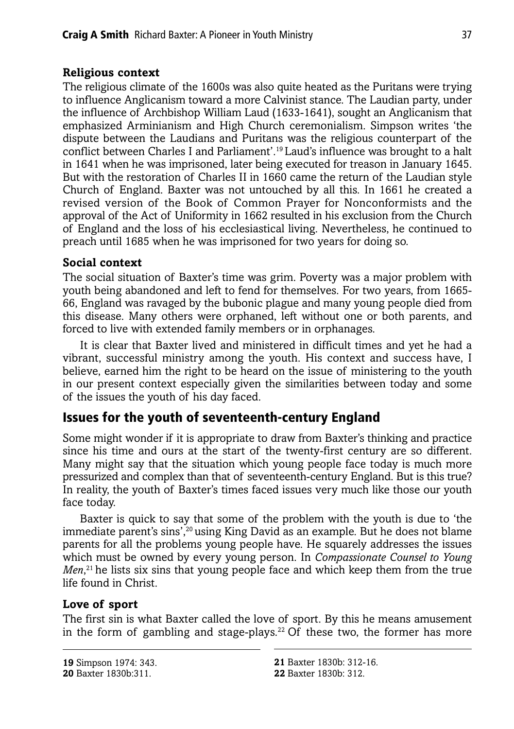#### **Religious context**

The religious climate of the 1600s was also quite heated as the Puritans were trying to influence Anglicanism toward a more Calvinist stance. The Laudian party, under the influence of Archbishop William Laud (1633-1641), sought an Anglicanism that emphasized Arminianism and High Church ceremonialism. Simpson writes 'the dispute between the Laudians and Puritans was the religious counterpart of the conflict between Charles I and Parliament'.19 Laud's influence was brought to a halt in 1641 when he was imprisoned, later being executed for treason in January 1645. But with the restoration of Charles II in 1660 came the return of the Laudian style Church of England. Baxter was not untouched by all this. In 1661 he created a revised version of the Book of Common Prayer for Nonconformists and the approval of the Act of Uniformity in 1662 resulted in his exclusion from the Church of England and the loss of his ecclesiastical living. Nevertheless, he continued to preach until 1685 when he was imprisoned for two years for doing so.

#### **Social context**

The social situation of Baxter's time was grim. Poverty was a major problem with youth being abandoned and left to fend for themselves. For two years, from 1665- 66, England was ravaged by the bubonic plague and many young people died from this disease. Many others were orphaned, left without one or both parents, and forced to live with extended family members or in orphanages.

It is clear that Baxter lived and ministered in difficult times and yet he had a vibrant, successful ministry among the youth. His context and success have, I believe, earned him the right to be heard on the issue of ministering to the youth in our present context especially given the similarities between today and some of the issues the youth of his day faced.

# **Issues for the youth of seventeenth-century England**

Some might wonder if it is appropriate to draw from Baxter's thinking and practice since his time and ours at the start of the twenty-first century are so different. Many might say that the situation which young people face today is much more pressurized and complex than that of seventeenth-century England. But is this true? In reality, the youth of Baxter's times faced issues very much like those our youth face today.

Baxter is quick to say that some of the problem with the youth is due to 'the immediate parent's sins',20 using King David as an example. But he does not blame parents for all the problems young people have. He squarely addresses the issues which must be owned by every young person. In *Compassionate Counsel to Young Men*, 21 he lists six sins that young people face and which keep them from the true life found in Christ.

## **Love of sport**

The first sin is what Baxter called the love of sport. By this he means amusement in the form of gambling and stage-plays.<sup>22</sup> Of these two, the former has more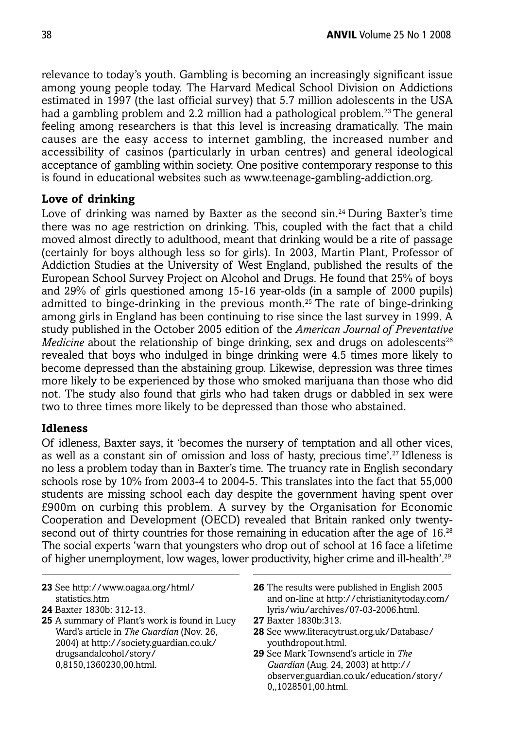relevance to today's youth. Gambling is becoming an increasingly significant issue among young people today. The Harvard Medical School Division on Addictions estimated in 1997 (the last official survey) that 5.7 million adolescents in the USA had a gambling problem and 2.2 million had a pathological problem.<sup>23</sup> The general feeling among researchers is that this level is increasing dramatically. The main causes are the easy access to internet gambling, the increased number and accessibility of casinos (particularly in urban centres) and general ideological acceptance of gambling within society. One positive contemporary response to this is found in educational websites such as www.teenage-gambling-addiction.org.

#### **Love of drinking**

Love of drinking was named by Baxter as the second sin.<sup>24</sup> During Baxter's time there was no age restriction on drinking. This, coupled with the fact that a child moved almost directly to adulthood, meant that drinking would be a rite of passage (certainly for boys although less so for girls). In 2003, Martin Plant, Professor of Addiction Studies at the University of West England, published the results of the European School Survey Project on Alcohol and Drugs. He found that 25% of boys and 29% of girls questioned among 15-16 year-olds (in a sample of 2000 pupils) admitted to binge-drinking in the previous month.<sup>25</sup> The rate of binge-drinking among girls in England has been continuing to rise since the last survey in 1999. A study published in the October 2005 edition of the *American Journal of Preventative Medicine* about the relationship of binge drinking, sex and drugs on adolescents<sup>26</sup> revealed that boys who indulged in binge drinking were 4.5 times more likely to become depressed than the abstaining group. Likewise, depression was three times more likely to be experienced by those who smoked marijuana than those who did not. The study also found that girls who had taken drugs or dabbled in sex were two to three times more likely to be depressed than those who abstained.

#### **Idleness**

Of idleness, Baxter says, it 'becomes the nursery of temptation and all other vices, as well as a constant sin of omission and loss of hasty, precious time'.27 Idleness is no less a problem today than in Baxter's time. The truancy rate in English secondary schools rose by 10% from 2003-4 to 2004-5. This translates into the fact that 55,000 students are missing school each day despite the government having spent over £900m on curbing this problem. A survey by the Organisation for Economic Cooperation and Development (OECD) revealed that Britain ranked only twentysecond out of thirty countries for those remaining in education after the age of 16.<sup>28</sup> The social experts 'warn that youngsters who drop out of school at 16 face a lifetime of higher unemployment, low wages, lower productivity, higher crime and ill-health'.29

**23** See http://www.oagaa.org/html/ statistics.htm

- **25** A summary of Plant's work is found in Lucy Ward's article in *The Guardian* (Nov. 26, 2004) at http://society.guardian.co.uk/ drugsandalcohol/story/ 0,8150,1360230,00.html.
- **26** The results were published in English 2005 and on-line at http://christianitytoday.com/ lyris/wiu/archives/07-03-2006.html.
- **27** Baxter 1830b:313.
- **28** See www.literacytrust.org.uk/Database/ youthdropout.html.
- **29** See Mark Townsend's article in *The Guardian* (Aug. 24, 2003) at http:// observer.guardian.co.uk/education/story/ 0,,1028501,00.html.

**<sup>24</sup>** Baxter 1830b: 312-13.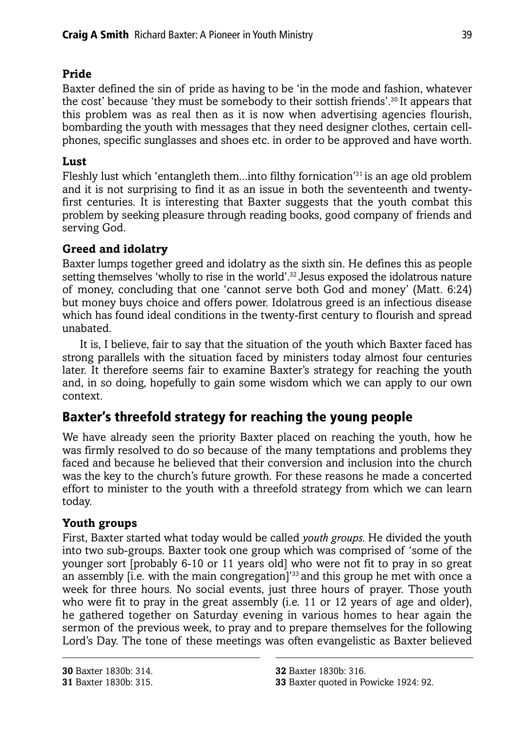## **Pride**

Baxter defined the sin of pride as having to be 'in the mode and fashion, whatever the cost' because 'they must be somebody to their sottish friends'.30 It appears that this problem was as real then as it is now when advertising agencies flourish, bombarding the youth with messages that they need designer clothes, certain cellphones, specific sunglasses and shoes etc. in order to be approved and have worth.

## **Lust**

Fleshly lust which 'entangleth them...into filthy fornication'31 is an age old problem and it is not surprising to find it as an issue in both the seventeenth and twentyfirst centuries. It is interesting that Baxter suggests that the youth combat this problem by seeking pleasure through reading books, good company of friends and serving God.

## **Greed and idolatry**

Baxter lumps together greed and idolatry as the sixth sin. He defines this as people setting themselves 'wholly to rise in the world'.<sup>32</sup> Jesus exposed the idolatrous nature of money, concluding that one 'cannot serve both God and money' (Matt. 6:24) but money buys choice and offers power. Idolatrous greed is an infectious disease which has found ideal conditions in the twenty-first century to flourish and spread unabated.

It is, I believe, fair to say that the situation of the youth which Baxter faced has strong parallels with the situation faced by ministers today almost four centuries later. It therefore seems fair to examine Baxter's strategy for reaching the youth and, in so doing, hopefully to gain some wisdom which we can apply to our own context.

# **Baxter's threefold strategy for reaching the young people**

We have already seen the priority Baxter placed on reaching the youth, how he was firmly resolved to do so because of the many temptations and problems they faced and because he believed that their conversion and inclusion into the church was the key to the church's future growth. For these reasons he made a concerted effort to minister to the youth with a threefold strategy from which we can learn today.

## **Youth groups**

First, Baxter started what today would be called *youth groups*. He divided the youth into two sub-groups. Baxter took one group which was comprised of 'some of the younger sort [probably 6-10 or 11 years old] who were not fit to pray in so great an assembly [i.e. with the main congregation]<sup>33</sup> and this group he met with once a week for three hours. No social events, just three hours of prayer. Those youth who were fit to pray in the great assembly (i.e. 11 or 12 years of age and older), he gathered together on Saturday evening in various homes to hear again the sermon of the previous week, to pray and to prepare themselves for the following Lord's Day. The tone of these meetings was often evangelistic as Baxter believed

**<sup>33</sup>** Baxter quoted in Powicke 1924: 92.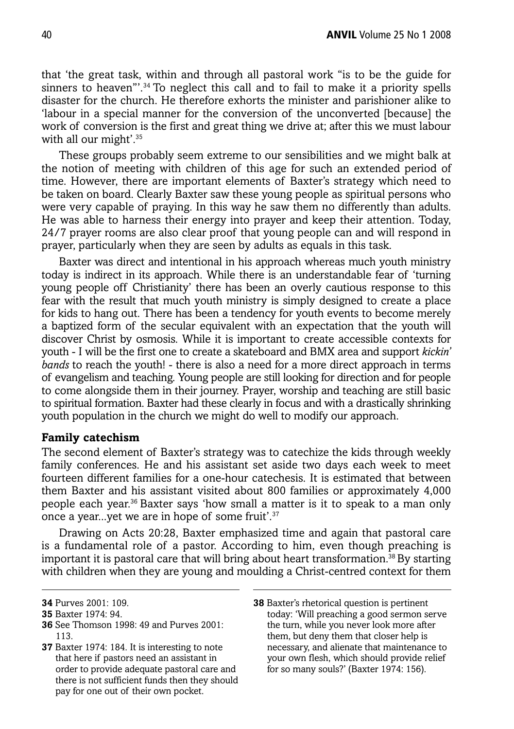that 'the great task, within and through all pastoral work "is to be the guide for sinners to heaven"<sup>34</sup> To neglect this call and to fail to make it a priority spells disaster for the church. He therefore exhorts the minister and parishioner alike to 'labour in a special manner for the conversion of the unconverted [because] the work of conversion is the first and great thing we drive at; after this we must labour with all our might'.<sup>35</sup>

These groups probably seem extreme to our sensibilities and we might balk at the notion of meeting with children of this age for such an extended period of time. However, there are important elements of Baxter's strategy which need to be taken on board. Clearly Baxter saw these young people as spiritual persons who were very capable of praying. In this way he saw them no differently than adults. He was able to harness their energy into prayer and keep their attention. Today, 24/7 prayer rooms are also clear proof that young people can and will respond in prayer, particularly when they are seen by adults as equals in this task.

Baxter was direct and intentional in his approach whereas much youth ministry today is indirect in its approach. While there is an understandable fear of 'turning young people off Christianity' there has been an overly cautious response to this fear with the result that much youth ministry is simply designed to create a place for kids to hang out. There has been a tendency for youth events to become merely a baptized form of the secular equivalent with an expectation that the youth will discover Christ by osmosis. While it is important to create accessible contexts for youth - I will be the first one to create a skateboard and BMX area and support *kickin' bands* to reach the youth! - there is also a need for a more direct approach in terms of evangelism and teaching. Young people are still looking for direction and for people to come alongside them in their journey. Prayer, worship and teaching are still basic to spiritual formation. Baxter had these clearly in focus and with a drastically shrinking youth population in the church we might do well to modify our approach.

#### **Family catechism**

The second element of Baxter's strategy was to catechize the kids through weekly family conferences. He and his assistant set aside two days each week to meet fourteen different families for a one-hour catechesis. It is estimated that between them Baxter and his assistant visited about 800 families or approximately 4,000 people each year.36 Baxter says 'how small a matter is it to speak to a man only once a year...yet we are in hope of some fruit'.37

Drawing on Acts 20:28, Baxter emphasized time and again that pastoral care is a fundamental role of a pastor. According to him, even though preaching is important it is pastoral care that will bring about heart transformation.38 By starting with children when they are young and moulding a Christ-centred context for them

- **36** See Thomson 1998: 49 and Purves 2001: 113.
- **37** Baxter 1974: 184. It is interesting to note that here if pastors need an assistant in order to provide adequate pastoral care and there is not sufficient funds then they should pay for one out of their own pocket.

**<sup>34</sup>** Purves 2001: 109.

**<sup>35</sup>** Baxter 1974: 94.

**<sup>38</sup>** Baxter's rhetorical question is pertinent today: 'Will preaching a good sermon serve the turn, while you never look more after them, but deny them that closer help is necessary, and alienate that maintenance to your own flesh, which should provide relief for so many souls?' (Baxter 1974: 156).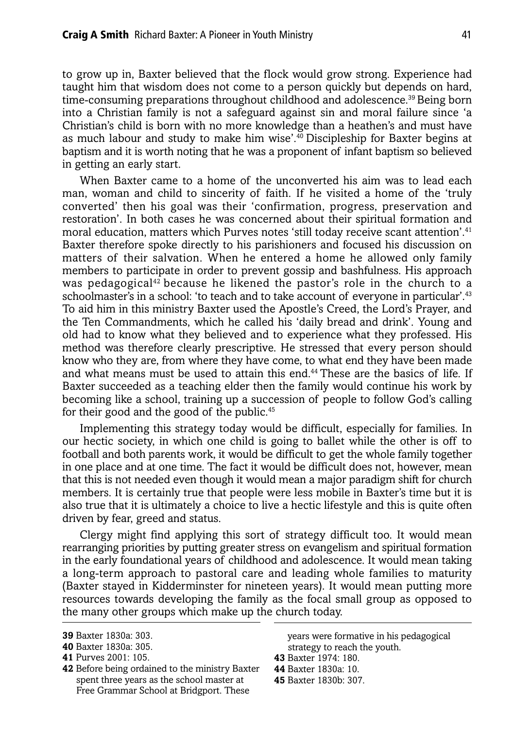to grow up in, Baxter believed that the flock would grow strong. Experience had taught him that wisdom does not come to a person quickly but depends on hard, time-consuming preparations throughout childhood and adolescence.<sup>39</sup> Being born into a Christian family is not a safeguard against sin and moral failure since 'a Christian's child is born with no more knowledge than a heathen's and must have as much labour and study to make him wise<sup>',40</sup> Discipleship for Baxter begins at baptism and it is worth noting that he was a proponent of infant baptism so believed in getting an early start.

When Baxter came to a home of the unconverted his aim was to lead each man, woman and child to sincerity of faith. If he visited a home of the 'truly converted' then his goal was their 'confirmation, progress, preservation and restoration'. In both cases he was concerned about their spiritual formation and moral education, matters which Purves notes 'still today receive scant attention'.41 Baxter therefore spoke directly to his parishioners and focused his discussion on matters of their salvation. When he entered a home he allowed only family members to participate in order to prevent gossip and bashfulness. His approach was pedagogical<sup>42</sup> because he likened the pastor's role in the church to a schoolmaster's in a school: 'to teach and to take account of everyone in particular'.<sup>43</sup> To aid him in this ministry Baxter used the Apostle's Creed, the Lord's Prayer, and the Ten Commandments, which he called his 'daily bread and drink'. Young and old had to know what they believed and to experience what they professed. His method was therefore clearly prescriptive. He stressed that every person should know who they are, from where they have come, to what end they have been made and what means must be used to attain this end.<sup>44</sup> These are the basics of life. If Baxter succeeded as a teaching elder then the family would continue his work by becoming like a school, training up a succession of people to follow God's calling for their good and the good of the public.<sup>45</sup>

Implementing this strategy today would be difficult, especially for families. In our hectic society, in which one child is going to ballet while the other is off to football and both parents work, it would be difficult to get the whole family together in one place and at one time. The fact it would be difficult does not, however, mean that this is not needed even though it would mean a major paradigm shift for church members. It is certainly true that people were less mobile in Baxter's time but it is also true that it is ultimately a choice to live a hectic lifestyle and this is quite often driven by fear, greed and status.

Clergy might find applying this sort of strategy difficult too. It would mean rearranging priorities by putting greater stress on evangelism and spiritual formation in the early foundational years of childhood and adolescence. It would mean taking a long-term approach to pastoral care and leading whole families to maturity (Baxter stayed in Kidderminster for nineteen years). It would mean putting more resources towards developing the family as the focal small group as opposed to the many other groups which make up the church today.

**42** Before being ordained to the ministry Baxter spent three years as the school master at Free Grammar School at Bridgport. These

years were formative in his pedagogical strategy to reach the youth.

- **43** Baxter 1974: 180.
- **44** Baxter 1830a: 10.

**<sup>39</sup>** Baxter 1830a: 303.

**<sup>40</sup>** Baxter 1830a: 305.

**<sup>41</sup>** Purves 2001: 105.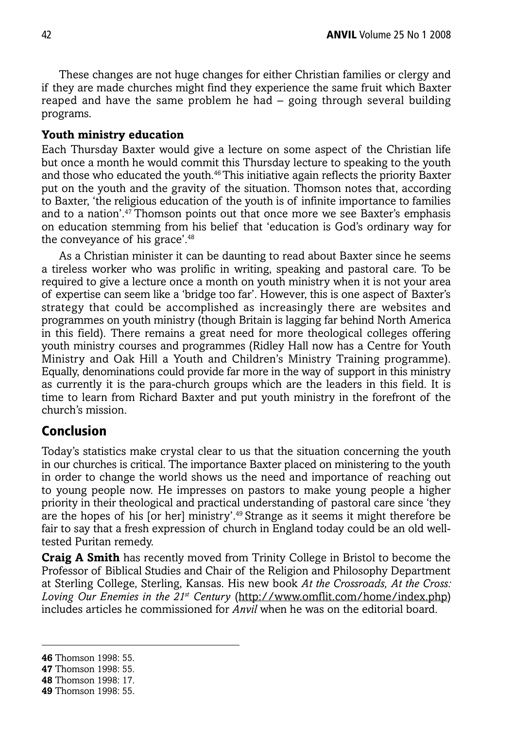These changes are not huge changes for either Christian families or clergy and if they are made churches might find they experience the same fruit which Baxter reaped and have the same problem he had – going through several building programs.

#### **Youth ministry education**

Each Thursday Baxter would give a lecture on some aspect of the Christian life but once a month he would commit this Thursday lecture to speaking to the youth and those who educated the youth.46 This initiative again reflects the priority Baxter put on the youth and the gravity of the situation. Thomson notes that, according to Baxter, 'the religious education of the youth is of infinite importance to families and to a nation'. $47$ Thomson points out that once more we see Baxter's emphasis on education stemming from his belief that 'education is God's ordinary way for the conveyance of his grace'.48

As a Christian minister it can be daunting to read about Baxter since he seems a tireless worker who was prolific in writing, speaking and pastoral care. To be required to give a lecture once a month on youth ministry when it is not your area of expertise can seem like a 'bridge too far'. However, this is one aspect of Baxter's strategy that could be accomplished as increasingly there are websites and programmes on youth ministry (though Britain is lagging far behind North America in this field). There remains a great need for more theological colleges offering youth ministry courses and programmes (Ridley Hall now has a Centre for Youth Ministry and Oak Hill a Youth and Children's Ministry Training programme). Equally, denominations could provide far more in the way of support in this ministry as currently it is the para-church groups which are the leaders in this field. It is time to learn from Richard Baxter and put youth ministry in the forefront of the church's mission.

#### **Conclusion**

Today's statistics make crystal clear to us that the situation concerning the youth in our churches is critical. The importance Baxter placed on ministering to the youth in order to change the world shows us the need and importance of reaching out to young people now. He impresses on pastors to make young people a higher priority in their theological and practical understanding of pastoral care since 'they are the hopes of his [or her] ministry'.49 Strange as it seems it might therefore be fair to say that a fresh expression of church in England today could be an old welltested Puritan remedy.

**Craig A Smith** has recently moved from Trinity College in Bristol to become the Professor of Biblical Studies and Chair of the Religion and Philosophy Department at Sterling College, Sterling, Kansas. His new book *At the Crossroads, At the Cross: Loving Our Enemies in the 21st Century* (http://www.omflit.com/home/index.php) includes articles he commissioned for *Anvil* when he was on the editorial board.

**<sup>46</sup>** Thomson 1998: 55.

**<sup>47</sup>** Thomson 1998: 55.

**<sup>48</sup>** Thomson 1998: 17.

**<sup>49</sup>** Thomson 1998: 55.